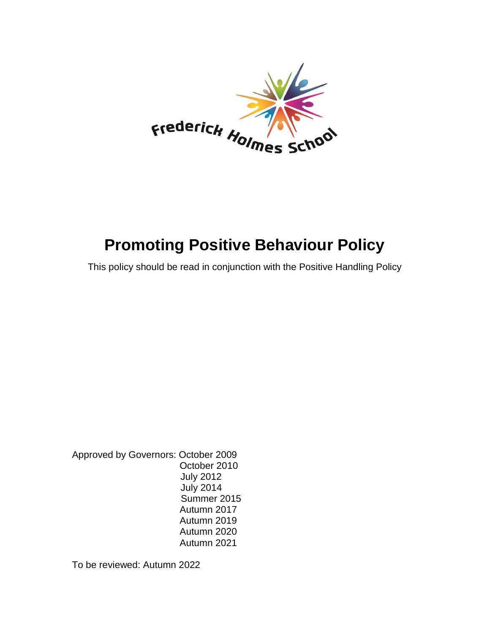

# **Promoting Positive Behaviour Policy**

This policy should be read in conjunction with the Positive Handling Policy

Approved by Governors: October 2009 October 2010 July 2012 July 2014 Summer 2015 Autumn 2017 Autumn 2019 Autumn 2020 Autumn 2021

To be reviewed: Autumn 2022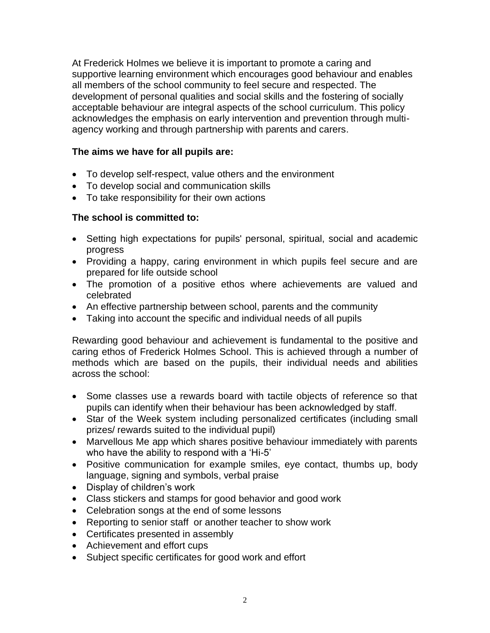At Frederick Holmes we believe it is important to promote a caring and supportive learning environment which encourages good behaviour and enables all members of the school community to feel secure and respected. The development of personal qualities and social skills and the fostering of socially acceptable behaviour are integral aspects of the school curriculum. This policy acknowledges the emphasis on early intervention and prevention through multiagency working and through partnership with parents and carers.

# **The aims we have for all pupils are:**

- To develop self-respect, value others and the environment
- To develop social and communication skills
- To take responsibility for their own actions

# **The school is committed to:**

- Setting high expectations for pupils' personal, spiritual, social and academic progress
- Providing a happy, caring environment in which pupils feel secure and are prepared for life outside school
- The promotion of a positive ethos where achievements are valued and celebrated
- An effective partnership between school, parents and the community
- Taking into account the specific and individual needs of all pupils

Rewarding good behaviour and achievement is fundamental to the positive and caring ethos of Frederick Holmes School. This is achieved through a number of methods which are based on the pupils, their individual needs and abilities across the school:

- Some classes use a rewards board with tactile objects of reference so that pupils can identify when their behaviour has been acknowledged by staff.
- Star of the Week system including personalized certificates (including small prizes/ rewards suited to the individual pupil)
- Marvellous Me app which shares positive behaviour immediately with parents who have the ability to respond with a 'Hi-5'
- Positive communication for example smiles, eye contact, thumbs up, body language, signing and symbols, verbal praise
- Display of children's work
- Class stickers and stamps for good behavior and good work
- Celebration songs at the end of some lessons
- Reporting to senior staff or another teacher to show work
- Certificates presented in assembly
- Achievement and effort cups
- Subject specific certificates for good work and effort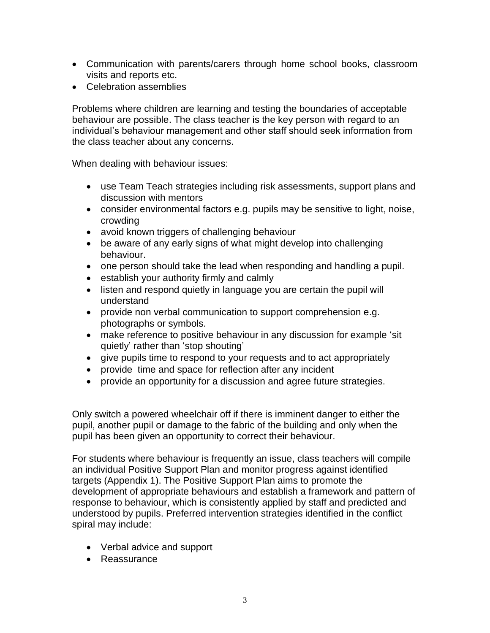- Communication with parents/carers through home school books, classroom visits and reports etc.
- Celebration assemblies

Problems where children are learning and testing the boundaries of acceptable behaviour are possible. The class teacher is the key person with regard to an individual's behaviour management and other staff should seek information from the class teacher about any concerns.

When dealing with behaviour issues:

- use Team Teach strategies including risk assessments, support plans and discussion with mentors
- consider environmental factors e.g. pupils may be sensitive to light, noise, crowding
- avoid known triggers of challenging behaviour
- be aware of any early signs of what might develop into challenging behaviour.
- one person should take the lead when responding and handling a pupil.
- establish your authority firmly and calmly
- listen and respond quietly in language you are certain the pupil will understand
- provide non verbal communication to support comprehension e.g. photographs or symbols.
- make reference to positive behaviour in any discussion for example 'sit quietly' rather than 'stop shouting'
- give pupils time to respond to your requests and to act appropriately
- provide time and space for reflection after any incident
- provide an opportunity for a discussion and agree future strategies.

Only switch a powered wheelchair off if there is imminent danger to either the pupil, another pupil or damage to the fabric of the building and only when the pupil has been given an opportunity to correct their behaviour.

For students where behaviour is frequently an issue, class teachers will compile an individual Positive Support Plan and monitor progress against identified targets (Appendix 1). The Positive Support Plan aims to promote the development of appropriate behaviours and establish a framework and pattern of response to behaviour, which is consistently applied by staff and predicted and understood by pupils. Preferred intervention strategies identified in the conflict spiral may include:

- Verbal advice and support
- Reassurance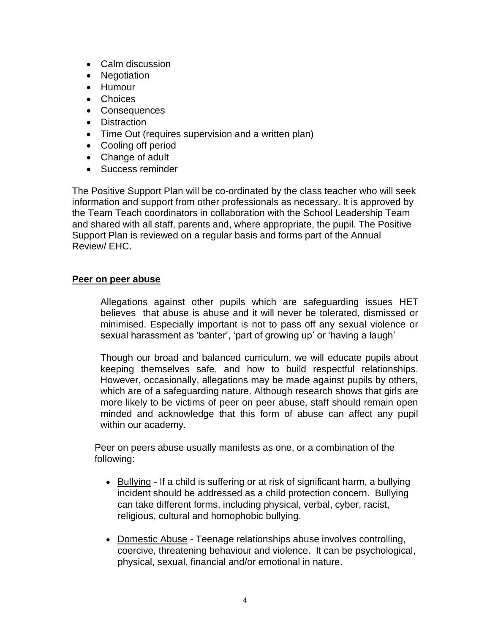- Calm discussion
- Negotiation
- Humour
- Choices
- Consequences
- Distraction
- Time Out (requires supervision and a written plan)
- Cooling off period
- Change of adult
- Success reminder

The Positive Support Plan will be co-ordinated by the class teacher who will seek information and support from other professionals as necessary. It is approved by the Team Teach coordinators in collaboration with the School Leadership Team and shared with all staff, parents and, where appropriate, the pupil. The Positive Support Plan is reviewed on a regular basis and forms part of the Annual Review/ EHC.

# **Peer on peer abuse**

Allegations against other pupils which are safeguarding issues HET believes that abuse is abuse and it will never be tolerated, dismissed or minimised. Especially important is not to pass off any sexual violence or sexual harassment as 'banter', 'part of growing up' or 'having a laugh'

Though our broad and balanced curriculum, we will educate pupils about keeping themselves safe, and how to build respectful relationships. However, occasionally, allegations may be made against pupils by others, which are of a safeguarding nature. Although research shows that girls are more likely to be victims of peer on peer abuse, staff should remain open minded and acknowledge that this form of abuse can affect any pupil within our academy.

Peer on peers abuse usually manifests as one, or a combination of the following:

- Bullying If a child is suffering or at risk of significant harm, a bullying incident should be addressed as a child protection concern. Bullying can take different forms, including physical, verbal, cyber, racist, religious, cultural and homophobic bullying.
- Domestic Abuse Teenage relationships abuse involves controlling, coercive, threatening behaviour and violence. It can be psychological, physical, sexual, financial and/or emotional in nature.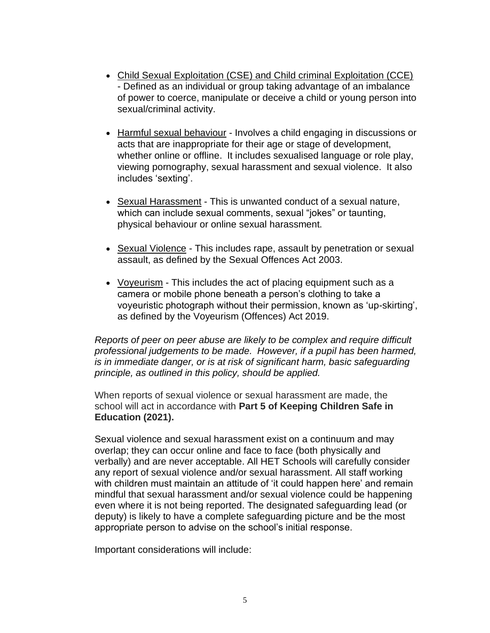- Child Sexual Exploitation (CSE) and Child criminal Exploitation (CCE) - Defined as an individual or group taking advantage of an imbalance of power to coerce, manipulate or deceive a child or young person into sexual/criminal activity.
- Harmful sexual behaviour Involves a child engaging in discussions or acts that are inappropriate for their age or stage of development, whether online or offline. It includes sexualised language or role play, viewing pornography, sexual harassment and sexual violence. It also includes 'sexting'.
- Sexual Harassment This is unwanted conduct of a sexual nature, which can include sexual comments, sexual "jokes" or taunting, physical behaviour or online sexual harassment.
- Sexual Violence This includes rape, assault by penetration or sexual assault, as defined by the Sexual Offences Act 2003.
- Voyeurism This includes the act of placing equipment such as a camera or mobile phone beneath a person's clothing to take a voyeuristic photograph without their permission, known as 'up-skirting', as defined by the Voyeurism (Offences) Act 2019.

*Reports of peer on peer abuse are likely to be complex and require difficult professional judgements to be made. However, if a pupil has been harmed, is in immediate danger, or is at risk of significant harm, basic safeguarding principle, as outlined in this policy, should be applied.* 

When reports of sexual violence or sexual harassment are made, the school will act in accordance with **Part 5 of Keeping Children Safe in Education (2021).**

Sexual violence and sexual harassment exist on a continuum and may overlap; they can occur online and face to face (both physically and verbally) and are never acceptable. All HET Schools will carefully consider any report of sexual violence and/or sexual harassment. All staff working with children must maintain an attitude of 'it could happen here' and remain mindful that sexual harassment and/or sexual violence could be happening even where it is not being reported. The designated safeguarding lead (or deputy) is likely to have a complete safeguarding picture and be the most appropriate person to advise on the school's initial response.

Important considerations will include: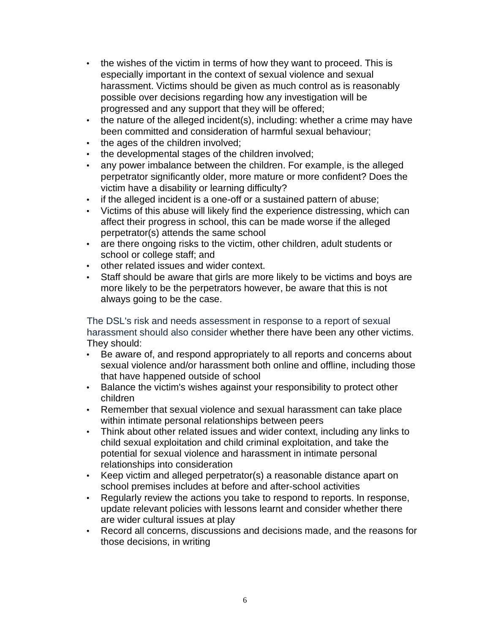- the wishes of the victim in terms of how they want to proceed. This is especially important in the context of sexual violence and sexual harassment. Victims should be given as much control as is reasonably possible over decisions regarding how any investigation will be progressed and any support that they will be offered;
- the nature of the alleged incident(s), including: whether a crime may have been committed and consideration of harmful sexual behaviour;
- the ages of the children involved;
- the developmental stages of the children involved;
- any power imbalance between the children. For example, is the alleged perpetrator significantly older, more mature or more confident? Does the victim have a disability or learning difficulty?
- if the alleged incident is a one-off or a sustained pattern of abuse;
- Victims of this abuse will likely find the experience distressing, which can affect their progress in school, this can be made worse if the alleged perpetrator(s) attends the same school
- are there ongoing risks to the victim, other children, adult students or school or college staff; and
- other related issues and wider context.
- Staff should be aware that girls are more likely to be victims and boys are more likely to be the perpetrators however, be aware that this is not always going to be the case.

The DSL's risk and needs assessment in response to a report of sexual harassment should also consider whether there have been any other victims. They should:

- Be aware of, and respond appropriately to all reports and concerns about sexual violence and/or harassment both online and offline, including those that have happened outside of school
- Balance the victim's wishes against your responsibility to protect other children
- Remember that sexual violence and sexual harassment can take place within intimate personal relationships between peers
- Think about other related issues and wider context, including any links to child sexual exploitation and child criminal exploitation, and take the potential for sexual violence and harassment in intimate personal relationships into consideration
- Keep victim and alleged perpetrator(s) a reasonable distance apart on school premises includes at before and after-school activities
- Regularly review the actions you take to respond to reports. In response, update relevant policies with lessons learnt and consider whether there are wider cultural issues at play
- Record all concerns, discussions and decisions made, and the reasons for those decisions, in writing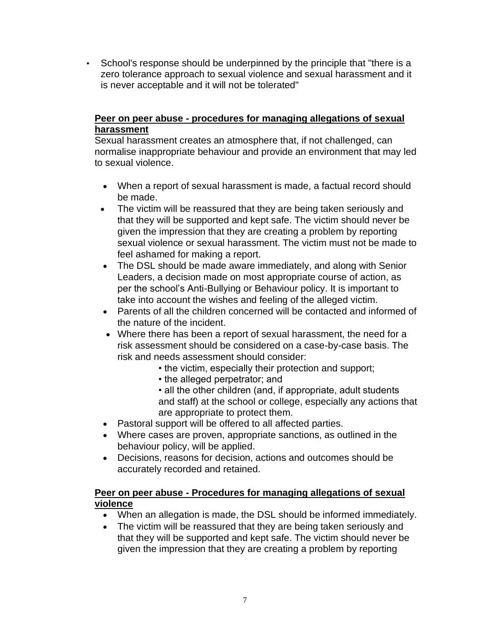• School's response should be underpinned by the principle that "there is a zero tolerance approach to sexual violence and sexual harassment and it is never acceptable and it will not be tolerated"

# **Peer on peer abuse - procedures for managing allegations of sexual harassment**

Sexual harassment creates an atmosphere that, if not challenged, can normalise inappropriate behaviour and provide an environment that may led to sexual violence.

- When a report of sexual harassment is made, a factual record should be made.
- The victim will be reassured that they are being taken seriously and that they will be supported and kept safe. The victim should never be given the impression that they are creating a problem by reporting sexual violence or sexual harassment. The victim must not be made to feel ashamed for making a report.
- The DSL should be made aware immediately, and along with Senior Leaders, a decision made on most appropriate course of action, as per the school's Anti-Bullying or Behaviour policy. It is important to take into account the wishes and feeling of the alleged victim.
- Parents of all the children concerned will be contacted and informed of the nature of the incident.
- Where there has been a report of sexual harassment, the need for a risk assessment should be considered on a case-by-case basis. The risk and needs assessment should consider:
	- the victim, especially their protection and support;
	- the alleged perpetrator; and
	- all the other children (and, if appropriate, adult students and staff) at the school or college, especially any actions that are appropriate to protect them.
- Pastoral support will be offered to all affected parties.
- Where cases are proven, appropriate sanctions, as outlined in the behaviour policy, will be applied.
- Decisions, reasons for decision, actions and outcomes should be accurately recorded and retained.

# **Peer on peer abuse - Procedures for managing allegations of sexual violence**

- When an allegation is made, the DSL should be informed immediately.
- The victim will be reassured that they are being taken seriously and that they will be supported and kept safe. The victim should never be given the impression that they are creating a problem by reporting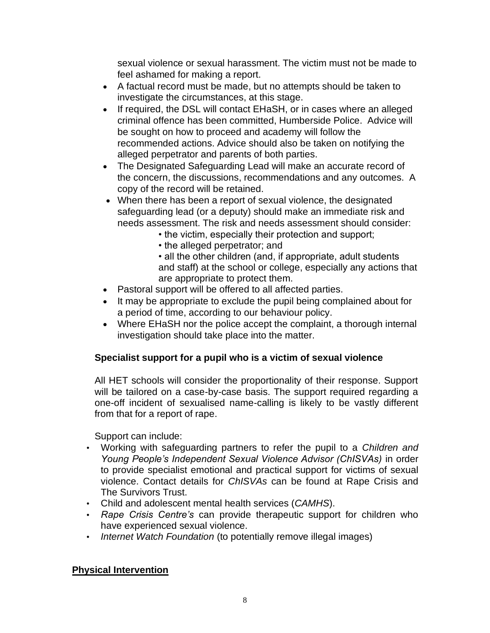sexual violence or sexual harassment. The victim must not be made to feel ashamed for making a report.

- A factual record must be made, but no attempts should be taken to investigate the circumstances, at this stage.
- If required, the DSL will contact EHaSH, or in cases where an alleged criminal offence has been committed, Humberside Police. Advice will be sought on how to proceed and academy will follow the recommended actions. Advice should also be taken on notifying the alleged perpetrator and parents of both parties.
- The Designated Safeguarding Lead will make an accurate record of the concern, the discussions, recommendations and any outcomes. A copy of the record will be retained.
- When there has been a report of sexual violence, the designated safeguarding lead (or a deputy) should make an immediate risk and needs assessment. The risk and needs assessment should consider:
	- the victim, especially their protection and support;
	- the alleged perpetrator; and
	- all the other children (and, if appropriate, adult students and staff) at the school or college, especially any actions that are appropriate to protect them.
- Pastoral support will be offered to all affected parties.
- It may be appropriate to exclude the pupil being complained about for a period of time, according to our behaviour policy.
- Where EHaSH nor the police accept the complaint, a thorough internal investigation should take place into the matter.

# **Specialist support for a pupil who is a victim of sexual violence**

All HET schools will consider the proportionality of their response. Support will be tailored on a case-by-case basis. The support required regarding a one-off incident of sexualised name-calling is likely to be vastly different from that for a report of rape.

Support can include:

- Working with safeguarding partners to refer the pupil to a *Children and Young People's Independent Sexual Violence Advisor (ChISVAs)* in order to provide specialist emotional and practical support for victims of sexual violence. Contact details for *ChISVAs* can be found at Rape Crisis and The Survivors Trust.
- Child and adolescent mental health services (*CAMHS*).
- *Rape Crisis Centre's* can provide therapeutic support for children who have experienced sexual violence.
- *Internet Watch Foundation* (to potentially remove illegal images)

# **Physical Intervention**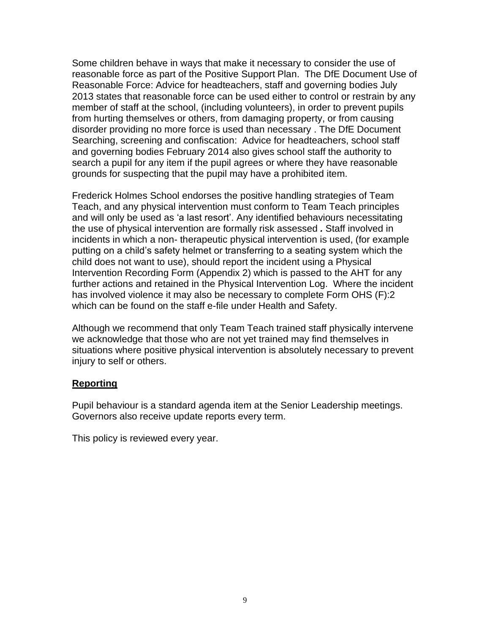Some children behave in ways that make it necessary to consider the use of reasonable force as part of the Positive Support Plan. The DfE Document Use of Reasonable Force: Advice for headteachers, staff and governing bodies July 2013 states that reasonable force can be used either to control or restrain by any member of staff at the school, (including volunteers), in order to prevent pupils from hurting themselves or others, from damaging property, or from causing disorder providing no more force is used than necessary . The DfE Document Searching, screening and confiscation: Advice for headteachers, school staff and governing bodies February 2014 also gives school staff the authority to search a pupil for any item if the pupil agrees or where they have reasonable grounds for suspecting that the pupil may have a prohibited item.

Frederick Holmes School endorses the positive handling strategies of Team Teach, and any physical intervention must conform to Team Teach principles and will only be used as 'a last resort'. Any identified behaviours necessitating the use of physical intervention are formally risk assessed *.* Staff involved in incidents in which a non- therapeutic physical intervention is used, (for example putting on a child's safety helmet or transferring to a seating system which the child does not want to use), should report the incident using a Physical Intervention Recording Form (Appendix 2) which is passed to the AHT for any further actions and retained in the Physical Intervention Log. Where the incident has involved violence it may also be necessary to complete Form OHS (F):2 which can be found on the staff e-file under Health and Safety.

Although we recommend that only Team Teach trained staff physically intervene we acknowledge that those who are not yet trained may find themselves in situations where positive physical intervention is absolutely necessary to prevent injury to self or others.

# **Reporting**

Pupil behaviour is a standard agenda item at the Senior Leadership meetings. Governors also receive update reports every term.

This policy is reviewed every year.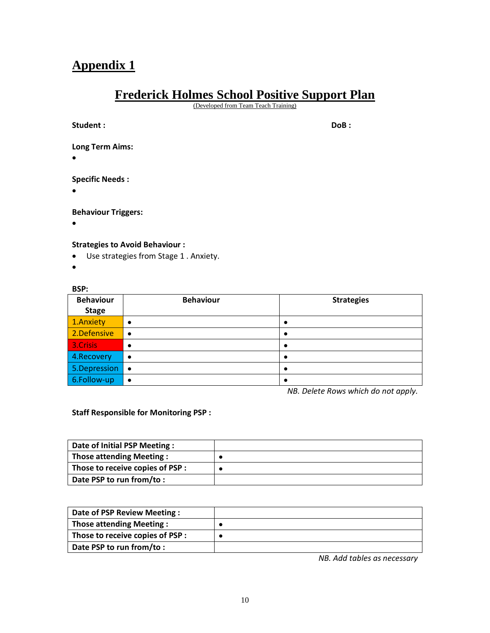# **Appendix 1**

# **Frederick Holmes School Positive Support Plan**

(Developed from Team Teach Training)

| Student:                            | DoB: |
|-------------------------------------|------|
| <b>Long Term Aims:</b><br>$\bullet$ |      |
| <b>Specific Needs:</b><br>$\bullet$ |      |

**Behaviour Triggers:**

•

#### **Strategies to Avoid Behaviour :**

- Use strategies from Stage 1 . Anxiety.
- •

#### **BSP:**

| <b>Behaviour</b> | <b>Behaviour</b> | <b>Strategies</b> |
|------------------|------------------|-------------------|
| <b>Stage</b>     |                  |                   |
| 1.Anxiety        |                  |                   |
| 2.Defensive      | ٠                |                   |
| 3.Crisis         | ٠                |                   |
| 4.Recovery       | ٠                |                   |
| 5.Depression   • |                  |                   |
| 6.Follow-up      |                  |                   |

*NB. Delete Rows which do not apply.*

**Staff Responsible for Monitoring PSP :**

| Date of Initial PSP Meeting:     |  |
|----------------------------------|--|
| <b>Those attending Meeting:</b>  |  |
| Those to receive copies of PSP : |  |
| Date PSP to run from/to:         |  |

| Date of PSP Review Meeting:      |  |
|----------------------------------|--|
| <b>Those attending Meeting:</b>  |  |
| Those to receive copies of PSP : |  |
| Date PSP to run from/to:         |  |

*NB. Add tables as necessary*